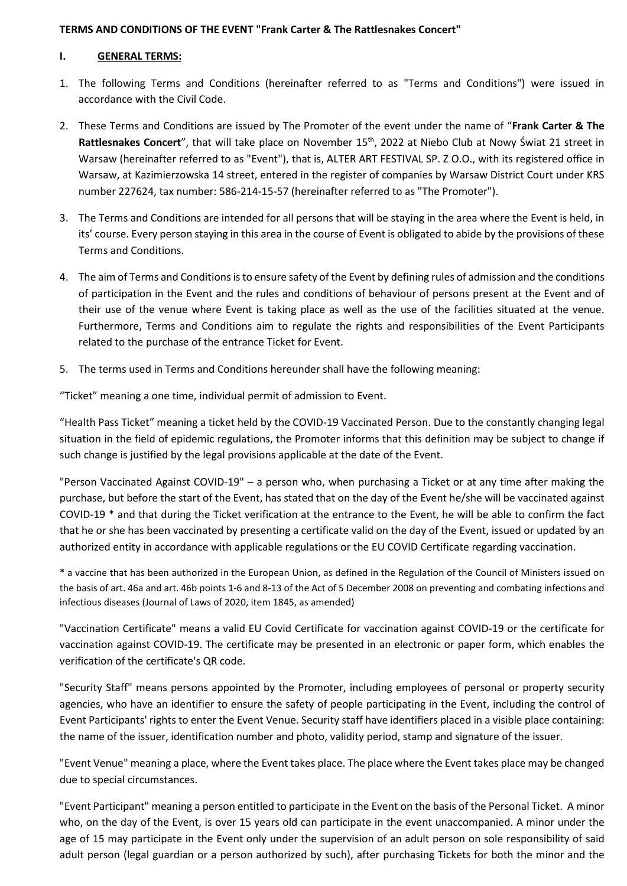## **TERMS AND CONDITIONS OF THE EVENT "Frank Carter & The Rattlesnakes Concert"**

### **I. GENERAL TERMS:**

- 1. The following Terms and Conditions (hereinafter referred to as "Terms and Conditions") were issued in accordance with the Civil Code.
- 2. These Terms and Conditions are issued by The Promoter of the event under the name of "**Frank Carter & The**  Rattlesnakes Concert", that will take place on November 15<sup>th</sup>, 2022 at Niebo Club at Nowy Świat 21 street in Warsaw (hereinafter referred to as "Event"), that is, ALTER ART FESTIVAL SP. Z O.O., with its registered office in Warsaw, at Kazimierzowska 14 street, entered in the register of companies by Warsaw District Court under KRS number 227624, tax number: 586-214-15-57 (hereinafter referred to as "The Promoter").
- 3. The Terms and Conditions are intended for all persons that will be staying in the area where the Event is held, in its' course. Every person staying in this area in the course of Event is obligated to abide by the provisions of these Terms and Conditions.
- 4. The aim of Terms and Conditions is to ensure safety of the Event by defining rules of admission and the conditions of participation in the Event and the rules and conditions of behaviour of persons present at the Event and of their use of the venue where Event is taking place as well as the use of the facilities situated at the venue. Furthermore, Terms and Conditions aim to regulate the rights and responsibilities of the Event Participants related to the purchase of the entrance Ticket for Event.
- 5. The terms used in Terms and Conditions hereunder shall have the following meaning:

"Ticket" meaning a one time, individual permit of admission to Event.

"Health Pass Ticket" meaning a ticket held by the COVID-19 Vaccinated Person. Due to the constantly changing legal situation in the field of epidemic regulations, the Promoter informs that this definition may be subject to change if such change is justified by the legal provisions applicable at the date of the Event.

"Person Vaccinated Against COVID-19" – a person who, when purchasing a Ticket or at any time after making the purchase, but before the start of the Event, has stated that on the day of the Event he/she will be vaccinated against COVID-19 \* and that during the Ticket verification at the entrance to the Event, he will be able to confirm the fact that he or she has been vaccinated by presenting a certificate valid on the day of the Event, issued or updated by an authorized entity in accordance with applicable regulations or the EU COVID Certificate regarding vaccination.

\* a vaccine that has been authorized in the European Union, as defined in the Regulation of the Council of Ministers issued on the basis of art. 46a and art. 46b points 1-6 and 8-13 of the Act of 5 December 2008 on preventing and combating infections and infectious diseases (Journal of Laws of 2020, item 1845, as amended)

"Vaccination Certificate" means a valid EU Covid Certificate for vaccination against COVID-19 or the certificate for vaccination against COVID-19. The certificate may be presented in an electronic or paper form, which enables the verification of the certificate's QR code.

"Security Staff" means persons appointed by the Promoter, including employees of personal or property security agencies, who have an identifier to ensure the safety of people participating in the Event, including the control of Event Participants' rights to enter the Event Venue. Security staff have identifiers placed in a visible place containing: the name of the issuer, identification number and photo, validity period, stamp and signature of the issuer.

"Event Venue" meaning a place, where the Event takes place. The place where the Event takes place may be changed due to special circumstances.

"Event Participant" meaning a person entitled to participate in the Event on the basis of the Personal Ticket. A minor who, on the day of the Event, is over 15 years old can participate in the event unaccompanied. A minor under the age of 15 may participate in the Event only under the supervision of an adult person on sole responsibility of said adult person (legal guardian or a person authorized by such), after purchasing Tickets for both the minor and the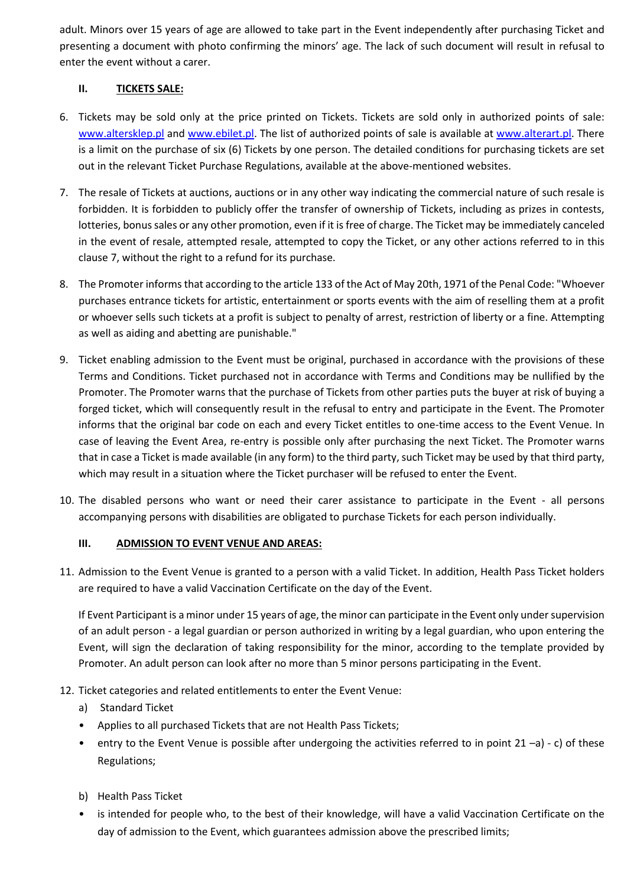adult. Minors over 15 years of age are allowed to take part in the Event independently after purchasing Ticket and presenting a document with photo confirming the minors' age. The lack of such document will result in refusal to enter the event without a carer.

# **II. TICKETS SALE:**

- 6. Tickets may be sold only at the price printed on Tickets. Tickets are sold only in authorized points of sale: [www.altersklep.pl](http://www.altersklep.pl/) and [www.ebilet.pl.](http://www.ebilet.pl/) The list of authorized points of sale is available at [www.alterart.pl.](http://www.alterart.pl/) There is a limit on the purchase of six (6) Tickets by one person. The detailed conditions for purchasing tickets are set out in the relevant Ticket Purchase Regulations, available at the above-mentioned websites.
- 7. The resale of Tickets at auctions, auctions or in any other way indicating the commercial nature of such resale is forbidden. It is forbidden to publicly offer the transfer of ownership of Tickets, including as prizes in contests, lotteries, bonus sales or any other promotion, even if it is free of charge. The Ticket may be immediately canceled in the event of resale, attempted resale, attempted to copy the Ticket, or any other actions referred to in this clause 7, without the right to a refund for its purchase.
- 8. The Promoter informs that according to the article 133 of the Act of May 20th, 1971 of the Penal Code: "Whoever purchases entrance tickets for artistic, entertainment or sports events with the aim of reselling them at a profit or whoever sells such tickets at a profit is subject to penalty of arrest, restriction of liberty or a fine. Attempting as well as aiding and abetting are punishable."
- 9. Ticket enabling admission to the Event must be original, purchased in accordance with the provisions of these Terms and Conditions. Ticket purchased not in accordance with Terms and Conditions may be nullified by the Promoter. The Promoter warns that the purchase of Tickets from other parties puts the buyer at risk of buying a forged ticket, which will consequently result in the refusal to entry and participate in the Event. The Promoter informs that the original bar code on each and every Ticket entitles to one-time access to the Event Venue. In case of leaving the Event Area, re-entry is possible only after purchasing the next Ticket. The Promoter warns that in case a Ticket is made available (in any form) to the third party, such Ticket may be used by that third party, which may result in a situation where the Ticket purchaser will be refused to enter the Event.
- 10. The disabled persons who want or need their carer assistance to participate in the Event all persons accompanying persons with disabilities are obligated to purchase Tickets for each person individually.

# **III. ADMISSION TO EVENT VENUE AND AREAS:**

11. Admission to the Event Venue is granted to a person with a valid Ticket. In addition, Health Pass Ticket holders are required to have a valid Vaccination Certificate on the day of the Event.

If Event Participant is a minor under 15 years of age, the minor can participate in the Event only under supervision of an adult person - a legal guardian or person authorized in writing by a legal guardian, who upon entering the Event, will sign the declaration of taking responsibility for the minor, according to the template provided by Promoter. An adult person can look after no more than 5 minor persons participating in the Event.

# 12. Ticket categories and related entitlements to enter the Event Venue:

- a) Standard Ticket
- Applies to all purchased Tickets that are not Health Pass Tickets;
- entry to the Event Venue is possible after undergoing the activities referred to in point 21 –a) c) of these Regulations;
- b) Health Pass Ticket
- is intended for people who, to the best of their knowledge, will have a valid Vaccination Certificate on the day of admission to the Event, which guarantees admission above the prescribed limits;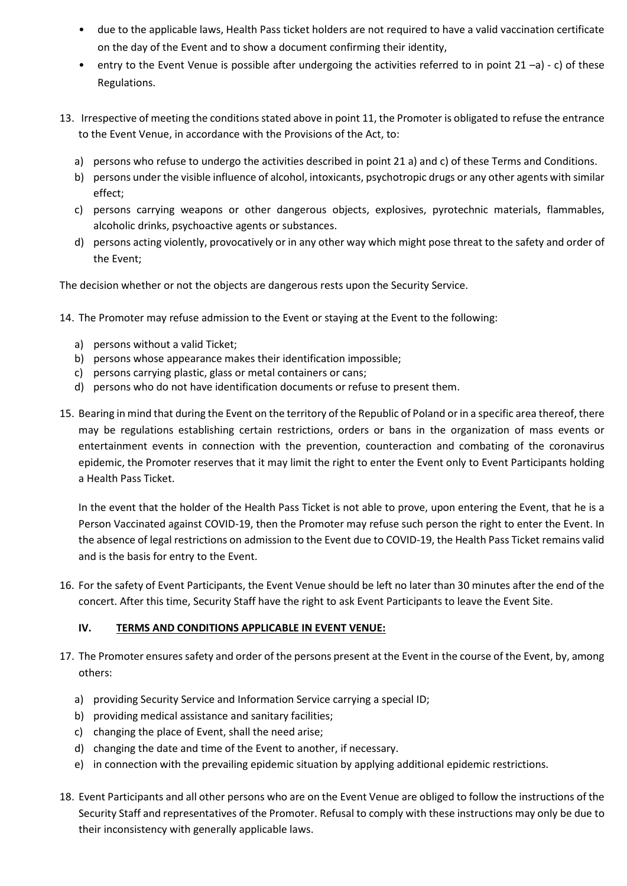- due to the applicable laws, Health Pass ticket holders are not required to have a valid vaccination certificate on the day of the Event and to show a document confirming their identity,
- entry to the Event Venue is possible after undergoing the activities referred to in point  $21 a$ ) c) of these Regulations.
- 13. Irrespective of meeting the conditions stated above in point 11, the Promoter is obligated to refuse the entrance to the Event Venue, in accordance with the Provisions of the Act, to:
	- a) persons who refuse to undergo the activities described in point 21 a) and c) of these Terms and Conditions.
	- b) persons under the visible influence of alcohol, intoxicants, psychotropic drugs or any other agents with similar effect;
	- c) persons carrying weapons or other dangerous objects, explosives, pyrotechnic materials, flammables, alcoholic drinks, psychoactive agents or substances.
	- d) persons acting violently, provocatively or in any other way which might pose threat to the safety and order of the Event;

The decision whether or not the objects are dangerous rests upon the Security Service.

- 14. The Promoter may refuse admission to the Event or staying at the Event to the following:
	- a) persons without a valid Ticket;
	- b) persons whose appearance makes their identification impossible;
	- c) persons carrying plastic, glass or metal containers or cans;
	- d) persons who do not have identification documents or refuse to present them.
- 15. Bearing in mind that during the Event on the territory of the Republic of Poland or in a specific area thereof, there may be regulations establishing certain restrictions, orders or bans in the organization of mass events or entertainment events in connection with the prevention, counteraction and combating of the coronavirus epidemic, the Promoter reserves that it may limit the right to enter the Event only to Event Participants holding a Health Pass Ticket.

In the event that the holder of the Health Pass Ticket is not able to prove, upon entering the Event, that he is a Person Vaccinated against COVID-19, then the Promoter may refuse such person the right to enter the Event. In the absence of legal restrictions on admission to the Event due to COVID-19, the Health Pass Ticket remains valid and is the basis for entry to the Event.

16. For the safety of Event Participants, the Event Venue should be left no later than 30 minutes after the end of the concert. After this time, Security Staff have the right to ask Event Participants to leave the Event Site.

# **IV. TERMS AND CONDITIONS APPLICABLE IN EVENT VENUE:**

- 17. The Promoter ensures safety and order of the persons present at the Event in the course of the Event, by, among others:
	- a) providing Security Service and Information Service carrying a special ID;
	- b) providing medical assistance and sanitary facilities;
	- c) changing the place of Event, shall the need arise;
	- d) changing the date and time of the Event to another, if necessary.
	- e) in connection with the prevailing epidemic situation by applying additional epidemic restrictions.
- 18. Event Participants and all other persons who are on the Event Venue are obliged to follow the instructions of the Security Staff and representatives of the Promoter. Refusal to comply with these instructions may only be due to their inconsistency with generally applicable laws.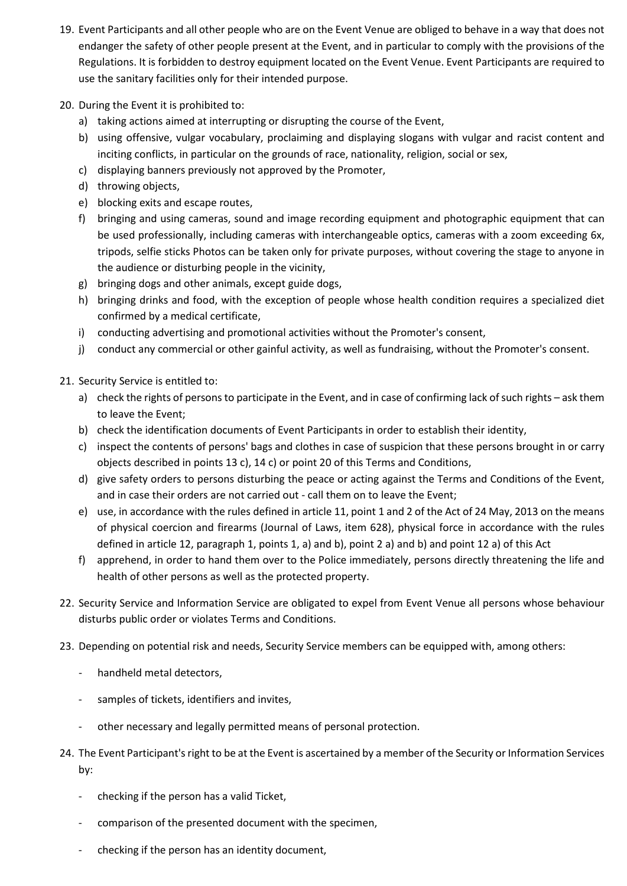- 19. Event Participants and all other people who are on the Event Venue are obliged to behave in a way that does not endanger the safety of other people present at the Event, and in particular to comply with the provisions of the Regulations. It is forbidden to destroy equipment located on the Event Venue. Event Participants are required to use the sanitary facilities only for their intended purpose.
- 20. During the Event it is prohibited to:
	- a) taking actions aimed at interrupting or disrupting the course of the Event,
	- b) using offensive, vulgar vocabulary, proclaiming and displaying slogans with vulgar and racist content and inciting conflicts, in particular on the grounds of race, nationality, religion, social or sex,
	- c) displaying banners previously not approved by the Promoter,
	- d) throwing objects,
	- e) blocking exits and escape routes,
	- f) bringing and using cameras, sound and image recording equipment and photographic equipment that can be used professionally, including cameras with interchangeable optics, cameras with a zoom exceeding 6x, tripods, selfie sticks Photos can be taken only for private purposes, without covering the stage to anyone in the audience or disturbing people in the vicinity,
	- g) bringing dogs and other animals, except guide dogs,
	- h) bringing drinks and food, with the exception of people whose health condition requires a specialized diet confirmed by a medical certificate,
	- i) conducting advertising and promotional activities without the Promoter's consent,
	- j) conduct any commercial or other gainful activity, as well as fundraising, without the Promoter's consent.
- 21. Security Service is entitled to:
	- a) check the rights of persons to participate in the Event, and in case of confirming lack of such rights ask them to leave the Event;
	- b) check the identification documents of Event Participants in order to establish their identity,
	- c) inspect the contents of persons' bags and clothes in case of suspicion that these persons brought in or carry objects described in points 13 c), 14 c) or point 20 of this Terms and Conditions,
	- d) give safety orders to persons disturbing the peace or acting against the Terms and Conditions of the Event, and in case their orders are not carried out - call them on to leave the Event;
	- e) use, in accordance with the rules defined in article 11, point 1 and 2 of the Act of 24 May, 2013 on the means of physical coercion and firearms (Journal of Laws, item 628), physical force in accordance with the rules defined in article 12, paragraph 1, points 1, a) and b), point 2 a) and b) and point 12 a) of this Act
	- f) apprehend, in order to hand them over to the Police immediately, persons directly threatening the life and health of other persons as well as the protected property.
- 22. Security Service and Information Service are obligated to expel from Event Venue all persons whose behaviour disturbs public order or violates Terms and Conditions.
- 23. Depending on potential risk and needs, Security Service members can be equipped with, among others:
	- handheld metal detectors,
	- samples of tickets, identifiers and invites,
	- other necessary and legally permitted means of personal protection.
- 24. The Event Participant's right to be at the Event is ascertained by a member of the Security or Information Services by:
	- checking if the person has a valid Ticket,
	- comparison of the presented document with the specimen,
	- checking if the person has an identity document,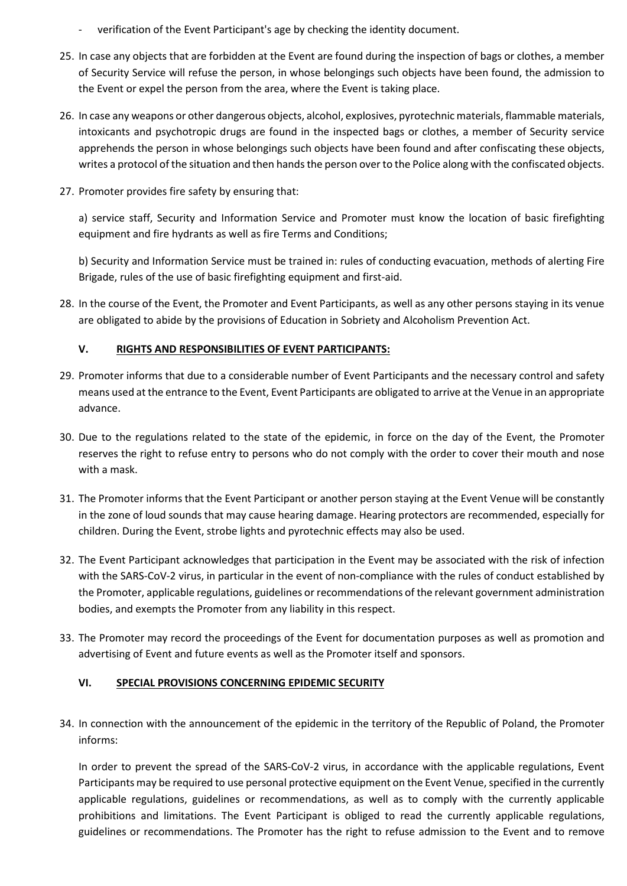- verification of the Event Participant's age by checking the identity document.
- 25. In case any objects that are forbidden at the Event are found during the inspection of bags or clothes, a member of Security Service will refuse the person, in whose belongings such objects have been found, the admission to the Event or expel the person from the area, where the Event is taking place.
- 26. In case any weapons or other dangerous objects, alcohol, explosives, pyrotechnic materials, flammable materials, intoxicants and psychotropic drugs are found in the inspected bags or clothes, a member of Security service apprehends the person in whose belongings such objects have been found and after confiscating these objects, writes a protocol of the situation and then hands the person over to the Police along with the confiscated objects.
- 27. Promoter provides fire safety by ensuring that:

a) service staff, Security and Information Service and Promoter must know the location of basic firefighting equipment and fire hydrants as well as fire Terms and Conditions;

b) Security and Information Service must be trained in: rules of conducting evacuation, methods of alerting Fire Brigade, rules of the use of basic firefighting equipment and first-aid.

28. In the course of the Event, the Promoter and Event Participants, as well as any other persons staying in its venue are obligated to abide by the provisions of Education in Sobriety and Alcoholism Prevention Act.

# **V. RIGHTS AND RESPONSIBILITIES OF EVENT PARTICIPANTS:**

- 29. Promoter informs that due to a considerable number of Event Participants and the necessary control and safety means used at the entrance to the Event, Event Participants are obligated to arrive at the Venue in an appropriate advance.
- 30. Due to the regulations related to the state of the epidemic, in force on the day of the Event, the Promoter reserves the right to refuse entry to persons who do not comply with the order to cover their mouth and nose with a mask.
- 31. The Promoter informs that the Event Participant or another person staying at the Event Venue will be constantly in the zone of loud sounds that may cause hearing damage. Hearing protectors are recommended, especially for children. During the Event, strobe lights and pyrotechnic effects may also be used.
- 32. The Event Participant acknowledges that participation in the Event may be associated with the risk of infection with the SARS-CoV-2 virus, in particular in the event of non-compliance with the rules of conduct established by the Promoter, applicable regulations, guidelines or recommendations of the relevant government administration bodies, and exempts the Promoter from any liability in this respect.
- 33. The Promoter may record the proceedings of the Event for documentation purposes as well as promotion and advertising of Event and future events as well as the Promoter itself and sponsors.

# **VI. SPECIAL PROVISIONS CONCERNING EPIDEMIC SECURITY**

34. In connection with the announcement of the epidemic in the territory of the Republic of Poland, the Promoter informs:

In order to prevent the spread of the SARS-CoV-2 virus, in accordance with the applicable regulations, Event Participants may be required to use personal protective equipment on the Event Venue, specified in the currently applicable regulations, guidelines or recommendations, as well as to comply with the currently applicable prohibitions and limitations. The Event Participant is obliged to read the currently applicable regulations, guidelines or recommendations. The Promoter has the right to refuse admission to the Event and to remove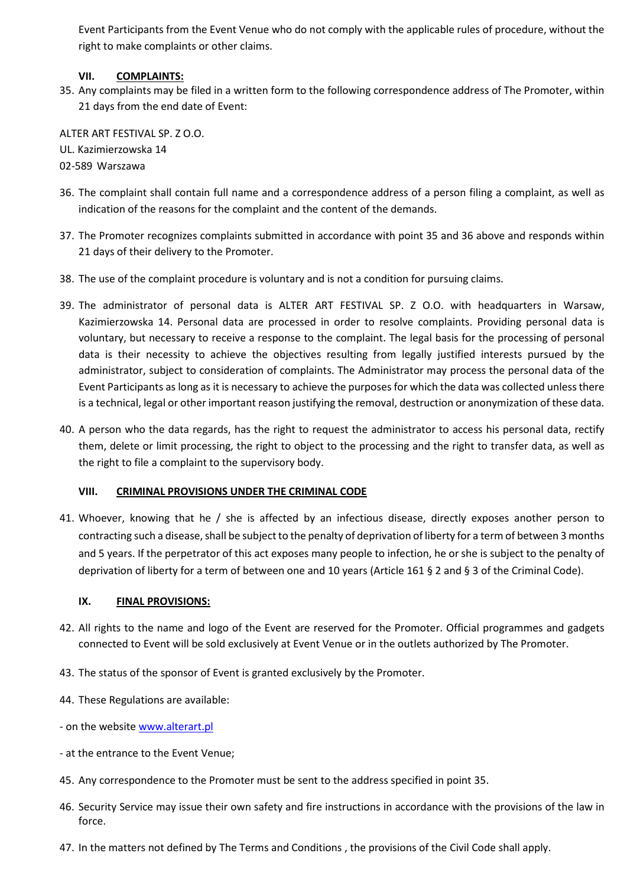Event Participants from the Event Venue who do not comply with the applicable rules of procedure, without the right to make complaints or other claims.

## **VII. COMPLAINTS:**

35. Any complaints may be filed in a written form to the following correspondence address of The Promoter, within 21 days from the end date of Event:

ALTER ART FESTIVAL SP. Z O.O. UL. Kazimierzowska 14

- 02-589 Warszawa
- 36. The complaint shall contain full name and a correspondence address of a person filing a complaint, as well as indication of the reasons for the complaint and the content of the demands.
- 37. The Promoter recognizes complaints submitted in accordance with point 35 and 36 above and responds within 21 days of their delivery to the Promoter.
- 38. The use of the complaint procedure is voluntary and is not a condition for pursuing claims.
- 39. The administrator of personal data is ALTER ART FESTIVAL SP. Z O.O. with headquarters in Warsaw, Kazimierzowska 14. Personal data are processed in order to resolve complaints. Providing personal data is voluntary, but necessary to receive a response to the complaint. The legal basis for the processing of personal data is their necessity to achieve the objectives resulting from legally justified interests pursued by the administrator, subject to consideration of complaints. The Administrator may process the personal data of the Event Participants as long as it is necessary to achieve the purposes for which the data was collected unless there is a technical, legal or other important reason justifying the removal, destruction or anonymization of these data.
- 40. A person who the data regards, has the right to request the administrator to access his personal data, rectify them, delete or limit processing, the right to object to the processing and the right to transfer data, as well as the right to file a complaint to the supervisory body.

### **VIII. CRIMINAL PROVISIONS UNDER THE CRIMINAL CODE**

41. Whoever, knowing that he / she is affected by an infectious disease, directly exposes another person to contracting such a disease, shall be subject to the penalty of deprivation of liberty for a term of between 3 months and 5 years. If the perpetrator of this act exposes many people to infection, he or she is subject to the penalty of deprivation of liberty for a term of between one and 10 years (Article 161 § 2 and § 3 of the Criminal Code).

### **IX. FINAL PROVISIONS:**

- 42. All rights to the name and logo of the Event are reserved for the Promoter. Official programmes and gadgets connected to Event will be sold exclusively at Event Venue or in the outlets authorized by The Promoter.
- 43. The status of the sponsor of Event is granted exclusively by the Promoter.
- 44. These Regulations are available:
- on the websit[e www.alterart.pl](http://www.alterart.pl/)
- at the entrance to the Event Venue;
- 45. Any correspondence to the Promoter must be sent to the address specified in point 35.
- 46. Security Service may issue their own safety and fire instructions in accordance with the provisions of the law in force.
- 47. In the matters not defined by The Terms and Conditions , the provisions of the Civil Code shall apply.